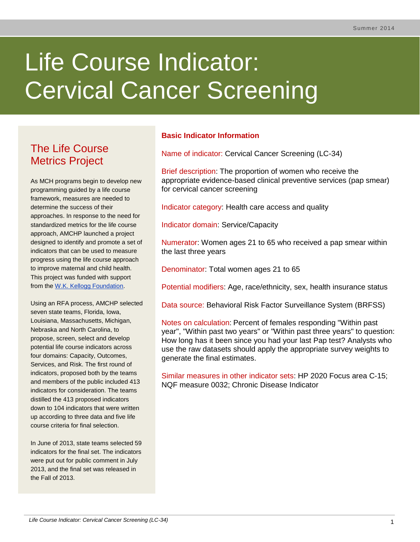# Life Course Indicator: Cervical Cancer Screening

# The Life Course Metrics Project

As MCH programs begin to develop new programming guided by a life course framework, measures are needed to determine the success of their approaches. In response to the need for standardized metrics for the life course approach, AMCHP launched a project designed to identify and promote a set of indicators that can be used to measure progress using the life course approach to improve maternal and child health. This project was funded with support from the [W.K. Kellogg Foundation.](http://www.wkkf.org/)

Using an RFA process, AMCHP selected seven state teams, Florida, Iowa, Louisiana, Massachusetts, Michigan, Nebraska and North Carolina, to propose, screen, select and develop potential life course indicators across four domains: Capacity, Outcomes, Services, and Risk. The first round of indicators, proposed both by the teams and members of the public included 413 indicators for consideration. The teams distilled the 413 proposed indicators down to 104 indicators that were written up according to three data and five life course criteria for final selection.

In June of 2013, state teams selected 59 indicators for the final set. The indicators were put out for public comment in July 2013, and the final set was released in the Fall of 2013.

# **Basic Indicator Information**

Name of indicator: Cervical Cancer Screening (LC-34)

Brief description: The proportion of women who receive the appropriate evidence-based clinical preventive services (pap smear) for cervical cancer screening

Indicator category: Health care access and quality

Indicator domain: Service/Capacity

Numerator: Women ages 21 to 65 who received a pap smear within the last three years

Denominator: Total women ages 21 to 65

Potential modifiers: Age, race/ethnicity, sex, health insurance status

Data source: Behavioral Risk Factor Surveillance System (BRFSS)

Notes on calculation: Percent of females responding "Within past year", "Within past two years" or "Within past three years" to question: How long has it been since you had your last Pap test? Analysts who use the raw datasets should apply the appropriate survey weights to generate the final estimates.

Similar measures in other indicator sets: HP 2020 Focus area C-15; NQF measure 0032; Chronic Disease Indicator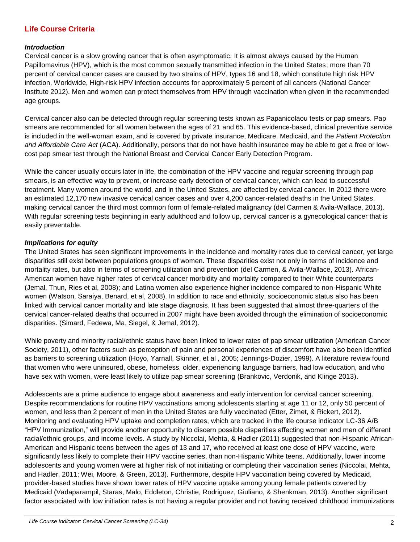# **Life Course Criteria**

#### *Introduction*

Cervical cancer is a slow growing cancer that is often asymptomatic. It is almost always caused by the Human Papillomavirus (HPV), which is the most common sexually transmitted infection in the United States; more than 70 percent of cervical cancer cases are caused by two strains of HPV, types 16 and 18, which constitute high risk HPV infection. Worldwide, High-risk HPV infection accounts for approximately 5 percent of all cancers (National Cancer Institute 2012). Men and women can protect themselves from HPV through vaccination when given in the recommended age groups.

Cervical cancer also can be detected through regular screening tests known as Papanicolaou tests or pap smears. Pap smears are recommended for all women between the ages of 21 and 65. This evidence-based, clinical preventive service is included in the well-woman exam, and is covered by private insurance, Medicare, Medicaid, and the *Patient Protection and Affordable Care Act* (ACA). Additionally, persons that do not have health insurance may be able to get a free or lowcost pap smear test through the National Breast and Cervical Cancer Early Detection Program.

While the cancer usually occurs later in life, the combination of the HPV vaccine and regular screening through pap smears, is an effective way to prevent, or increase early detection of cervical cancer, which can lead to successful treatment. Many women around the world, and in the United States, are affected by cervical cancer. In 2012 there were an estimated 12,170 new invasive cervical cancer cases and over 4,200 cancer-related deaths in the United States, making cervical cancer the third most common form of female-related malignancy (del Carmen & Avila-Wallace, 2013). With regular screening tests beginning in early adulthood and follow up, cervical cancer is a gynecological cancer that is easily preventable.

#### *Implications for equity*

The United States has seen significant improvements in the incidence and mortality rates due to cervical cancer, yet large disparities still exist between populations groups of women. These disparities exist not only in terms of incidence and mortality rates, but also in terms of screening utilization and prevention (del Carmen, & Avila-Wallace, 2013). African-American women have higher rates of cervical cancer morbidity and mortality compared to their White counterparts (Jemal, Thun, Ries et al, 2008); and Latina women also experience higher incidence compared to non-Hispanic White women (Watson, Saraiya, Benard, et al, 2008). In addition to race and ethnicity, socioeconomic status also has been linked with cervical cancer mortality and late stage diagnosis. It has been suggested that almost three-quarters of the cervical cancer-related deaths that occurred in 2007 might have been avoided through the elimination of socioeconomic disparities. (Simard, Fedewa, Ma, Siegel, & Jemal, 2012).

While poverty and minority racial/ethnic status have been linked to lower rates of pap smear utilization (American Cancer Society, 2011), other factors such as perception of pain and personal experiences of discomfort have also been identified as barriers to screening utilization (Hoyo, Yarnall, Skinner, et al , 2005; Jennings-Dozier, 1999). A literature review found that women who were uninsured, obese, homeless, older, experiencing language barriers, had low education, and who have sex with women, were least likely to utilize pap smear screening (Brankovic, Verdonik, and Klinge 2013).

Adolescents are a prime audience to engage about awareness and early intervention for cervical cancer screening. Despite recommendations for routine HPV vaccinations among adolescents starting at age 11 or 12, only 50 percent of women, and less than 2 percent of men in the United States are fully vaccinated (Etter, Zimet, & Rickert, 2012). Monitoring and evaluating HPV uptake and completion rates, which are tracked in the life course indicator LC-36 A/B "HPV Immunization," will provide another opportunity to discern possible disparities affecting women and men of different racial/ethnic groups, and income levels. A study by Niccolai, Mehta, & Hadler (2011) suggested that non-Hispanic African-American and Hispanic teens between the ages of 13 and 17, who received at least one dose of HPV vaccine, were significantly less likely to complete their HPV vaccine series, than non-Hispanic White teens. Additionally, lower income adolescents and young women were at higher risk of not initiating or completing their vaccination series (Niccolai, Mehta, and Hadler, 2011; Wei, Moore, & Green, 2013). Furthermore, despite HPV vaccination being covered by Medicaid, provider-based studies have shown lower rates of HPV vaccine uptake among young female patients covered by Medicaid (Vadaparampil, Staras, Malo, Eddleton, Christie, Rodriguez, Giuliano, & Shenkman, 2013). Another significant factor associated with low initiation rates is not having a regular provider and not having received childhood immunizations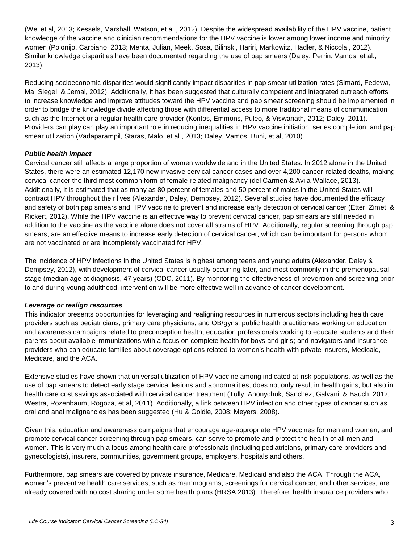(Wei et al, 2013; Kessels, Marshall, Watson, et al., 2012). Despite the widespread availability of the HPV vaccine, patient knowledge of the vaccine and clinician recommendations for the HPV vaccine is lower among lower income and minority women (Polonijo, Carpiano, 2013; Mehta, Julian, Meek, Sosa, Bilinski, Hariri, Markowitz, Hadler, & Niccolai, 2012). Similar knowledge disparities have been documented regarding the use of pap smears (Daley, Perrin, Vamos, et al., 2013).

Reducing socioeconomic disparities would significantly impact disparities in pap smear utilization rates (Simard, Fedewa, Ma, Siegel, & Jemal, 2012). Additionally, it has been suggested that culturally competent and integrated outreach efforts to increase knowledge and improve attitudes toward the HPV vaccine and pap smear screening should be implemented in order to bridge the knowledge divide affecting those with differential access to more traditional means of communication such as the Internet or a regular health care provider (Kontos, Emmons, Puleo, & Viswanath, 2012; Daley, 2011). Providers can play can play an important role in reducing inequalities in HPV vaccine initiation, series completion, and pap smear utilization (Vadaparampil, Staras, Malo, et al., 2013; Daley, Vamos, Buhi, et al, 2010).

### *Public health impact*

Cervical cancer still affects a large proportion of women worldwide and in the United States. In 2012 alone in the United States, there were an estimated 12,170 new invasive cervical cancer cases and over 4,200 cancer-related deaths, making cervical cancer the third most common form of female-related malignancy (del Carmen & Avila-Wallace, 2013). Additionally, it is estimated that as many as 80 percent of females and 50 percent of males in the United States will contract HPV throughout their lives (Alexander, Daley, Dempsey, 2012). Several studies have documented the efficacy and safety of both pap smears and HPV vaccine to prevent and increase early detection of cervical cancer (Etter, Zimet, & Rickert, 2012). While the HPV vaccine is an effective way to prevent cervical cancer, pap smears are still needed in addition to the vaccine as the vaccine alone does not cover all strains of HPV. Additionally, regular screening through pap smears, are an effective means to increase early detection of cervical cancer, which can be important for persons whom are not vaccinated or are incompletely vaccinated for HPV.

The incidence of HPV infections in the United States is highest among teens and young adults (Alexander, Daley & Dempsey, 2012), with development of cervical cancer usually occurring later, and most commonly in the premenopausal stage (median age at diagnosis, 47 years) (CDC, 2011). By monitoring the effectiveness of prevention and screening prior to and during young adulthood, intervention will be more effective well in advance of cancer development.

#### *Leverage or realign resources*

This indicator presents opportunities for leveraging and realigning resources in numerous sectors including health care providers such as pediatricians, primary care physicians, and OB/gyns; public health practitioners working on education and awareness campaigns related to preconception health; education professionals working to educate students and their parents about available immunizations with a focus on complete health for boys and girls; and navigators and insurance providers who can educate families about coverage options related to women's health with private insurers, Medicaid, Medicare, and the ACA.

Extensive studies have shown that universal utilization of HPV vaccine among indicated at-risk populations, as well as the use of pap smears to detect early stage cervical lesions and abnormalities, does not only result in health gains, but also in health care cost savings associated with cervical cancer treatment (Tully, Anonychuk, Sanchez, Galvani, & Bauch, 2012; Westra, Rozenbaum, Rogoza, et al, 2011). Additionally, a link between HPV infection and other types of cancer such as oral and anal malignancies has been suggested (Hu & Goldie, 2008; Meyers, 2008).

Given this, education and awareness campaigns that encourage age-appropriate HPV vaccines for men and women, and promote cervical cancer screening through pap smears, can serve to promote and protect the health of all men and women. This is very much a focus among health care professionals (including pediatricians, primary care providers and gynecologists), insurers, communities, government groups, employers, hospitals and others.

Furthermore, pap smears are covered by private insurance, Medicare, Medicaid and also the ACA. Through the ACA, women's preventive health care services, such as mammograms, screenings for cervical cancer, and other services, are already covered with no cost sharing under some health plans (HRSA 2013). Therefore, health insurance providers who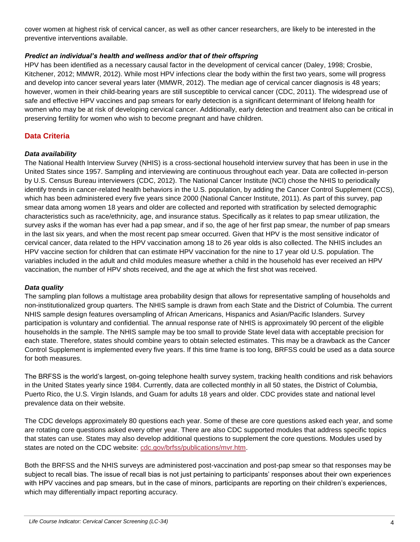cover women at highest risk of cervical cancer, as well as other cancer researchers, are likely to be interested in the preventive interventions available.

#### *Predict an individual's health and wellness and/or that of their offspring*

HPV has been identified as a necessary causal factor in the development of cervical cancer (Daley, 1998; Crosbie, Kitchener, 2012; MMWR, 2012). While most HPV infections clear the body within the first two years, some will progress and develop into cancer several years later (MMWR, 2012). The median age of cervical cancer diagnosis is 48 years; however, women in their child-bearing years are still susceptible to cervical cancer (CDC, 2011). The widespread use of safe and effective HPV vaccines and pap smears for early detection is a significant determinant of lifelong health for women who may be at risk of developing cervical cancer. Additionally, early detection and treatment also can be critical in preserving fertility for women who wish to become pregnant and have children.

# **Data Criteria**

#### *Data availability*

The National Health Interview Survey (NHIS) is a cross-sectional household interview survey that has been in use in the United States since 1957. Sampling and interviewing are continuous throughout each year. Data are collected in-person by U.S. Census Bureau interviewers (CDC, 2012). The National Cancer Institute (NCI) chose the NHIS to periodically identify trends in cancer-related health behaviors in the U.S. population, by adding the Cancer Control Supplement (CCS), which has been administered every five years since 2000 (National Cancer Institute, 2011). As part of this survey, pap smear data among women 18 years and older are collected and reported with stratification by selected demographic characteristics such as race/ethnicity, age, and insurance status. Specifically as it relates to pap smear utilization, the survey asks if the woman has ever had a pap smear, and if so, the age of her first pap smear, the number of pap smears in the last six years, and when the most recent pap smear occurred. Given that HPV is the most sensitive indicator of cervical cancer, data related to the HPV vaccination among 18 to 26 year olds is also collected. The NHIS includes an HPV vaccine section for children that can estimate HPV vaccination for the nine to 17 year old U.S. population. The variables included in the adult and child modules measure whether a child in the household has ever received an HPV vaccination, the number of HPV shots received, and the age at which the first shot was received.

#### *Data quality*

The sampling plan follows a multistage area probability design that allows for representative sampling of households and non-institutionalized group quarters. The NHIS sample is drawn from each State and the District of Columbia. The current NHIS sample design features oversampling of African Americans, Hispanics and Asian/Pacific Islanders. Survey participation is voluntary and confidential. The annual response rate of NHIS is approximately 90 percent of the eligible households in the sample. The NHIS sample may be too small to provide State level data with acceptable precision for each state. Therefore, states should combine years to obtain selected estimates. This may be a drawback as the Cancer Control Supplement is implemented every five years. If this time frame is too long, BRFSS could be used as a data source for both measures.

The BRFSS is the world's largest, on-going telephone health survey system, tracking health conditions and risk behaviors in the United States yearly since 1984. Currently, data are collected monthly in all 50 states, the District of Columbia, Puerto Rico, the U.S. Virgin Islands, and Guam for adults 18 years and older. CDC provides state and national level prevalence data on their website.

The CDC develops approximately 80 questions each year. Some of these are core questions asked each year, and some are rotating core questions asked every other year. There are also CDC supported modules that address specific topics that states can use. States may also develop additional questions to supplement the core questions. Modules used by states are noted on the CDC website: [cdc.gov/brfss/publications/mvr.htm.](http://www.cdc.gov/brfss/publications/mvr.htm)

Both the BRFSS and the NHIS surveys are administered post-vaccination and post-pap smear so that responses may be subject to recall bias. The issue of recall bias is not just pertaining to participants' responses about their own experiences with HPV vaccines and pap smears, but in the case of minors, participants are reporting on their children's experiences, which may differentially impact reporting accuracy.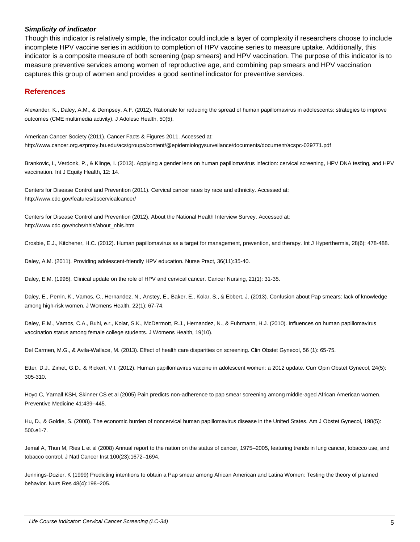#### *Simplicity of indicator*

Though this indicator is relatively simple, the indicator could include a layer of complexity if researchers choose to include incomplete HPV vaccine series in addition to completion of HPV vaccine series to measure uptake. Additionally, this indicator is a composite measure of both screening (pap smears) and HPV vaccination. The purpose of this indicator is to measure preventive services among women of reproductive age, and combining pap smears and HPV vaccination captures this group of women and provides a good sentinel indicator for preventive services.

#### **References**

Alexander, K., Daley, A.M., & Dempsey, A.F. (2012). Rationale for reducing the spread of human papillomavirus in adolescents: strategies to improve outcomes (CME multimedia activity). J Adolesc Health, 50(5).

American Cancer Society (2011). Cancer Facts & Figures 2011. Accessed at: http://www.cancer.org.ezproxy.bu.edu/acs/groups/content/@epidemiologysurveilance/documents/document/acspc-029771.pdf

Brankovic, I., Verdonk, P., & Klinge, I. (2013). Applying a gender lens on human papillomavirus infection: cervical screening, HPV DNA testing, and HPV vaccination. Int J Equity Health, 12: 14.

Centers for Disease Control and Prevention (2011). Cervical cancer rates by race and ethnicity. Accessed at: http://www.cdc.gov/features/dscervicalcancer/

Centers for Disease Control and Prevention (2012). About the National Health Interview Survey. Accessed at: http://www.cdc.gov/nchs/nhis/about\_nhis.htm

Crosbie, E.J., Kitchener, H.C. (2012). Human papillomavirus as a target for management, prevention, and therapy. Int J Hyperthermia, 28(6): 478-488.

Daley, A.M. (2011). Providing adolescent-friendly HPV education. Nurse Pract, 36(11):35-40.

Daley, E.M. (1998). Clinical update on the role of HPV and cervical cancer. Cancer Nursing, 21(1): 31-35.

Daley, E., Perrin, K., Vamos, C., Hernandez, N., Anstey, E., Baker, E., Kolar, S., & Ebbert, J. (2013). Confusion about Pap smears: lack of knowledge among high-risk women. J Womens Health, 22(1): 67-74.

Daley, E.M., Vamos, C.A., Buhi, e.r., Kolar, S.K., McDermott, R.J., Hernandez, N., & Fuhrmann, H.J. (2010). Influences on human papillomavirus vaccination status among female college students. J Womens Health, 19(10).

Del Carmen, M.G., & Avila-Wallace, M. (2013). Effect of health care disparities on screening. Clin Obstet Gynecol, 56 (1): 65-75.

Etter, D.J., Zimet, G.D., & Rickert, V.I. (2012). Human papillomavirus vaccine in adolescent women: a 2012 update. Curr Opin Obstet Gynecol, 24(5): 305-310.

Hoyo C, Yarnall KSH, Skinner CS et al (2005) Pain predicts non-adherence to pap smear screening among middle-aged African American women. Preventive Medicine 41:439–445.

Hu, D., & Goldie, S. (2008). The economic burden of noncervical human papillomavirus disease in the United States. Am J Obstet Gynecol, 198(5): 500.e1-7.

Jemal A, Thun M, Ries L et al (2008) Annual report to the nation on the status of cancer, 1975–2005, featuring trends in lung cancer, tobacco use, and tobacco control. J Natl Cancer Inst 100(23):1672–1694.

Jennings-Dozier, K (1999) Predicting intentions to obtain a Pap smear among African American and Latina Women: Testing the theory of planned behavior. Nurs Res 48(4):198–205.